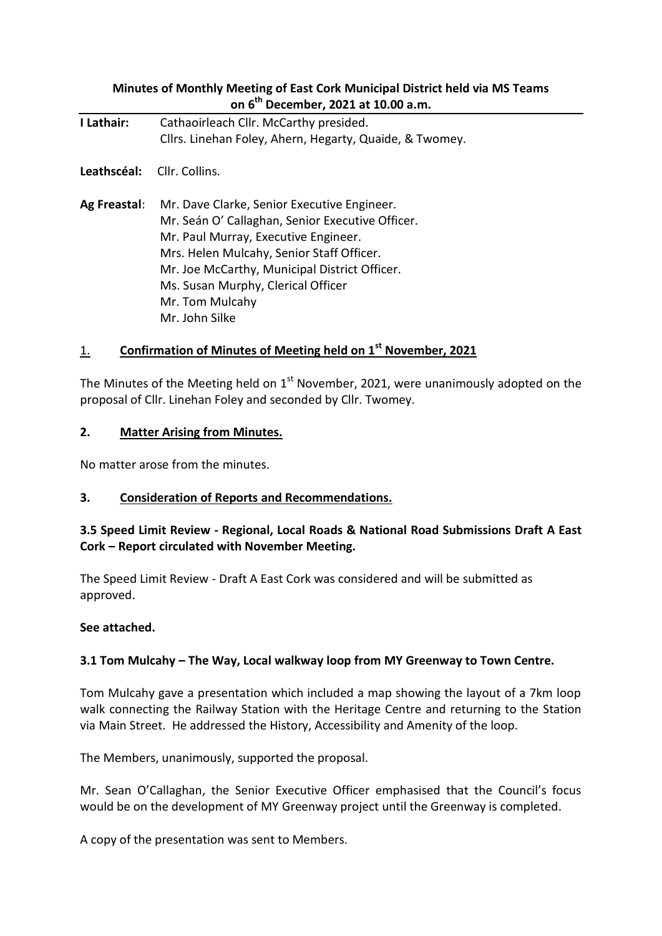# **Minutes of Monthly Meeting of East Cork Municipal District held via MS Teams on 6 th December, 2021 at 10.00 a.m.**

| I Lathair:   | Cathaoirleach Cllr. McCarthy presided.<br>Cllrs. Linehan Foley, Ahern, Hegarty, Quaide, & Twomey.                                                                                                                                                                                                                |
|--------------|------------------------------------------------------------------------------------------------------------------------------------------------------------------------------------------------------------------------------------------------------------------------------------------------------------------|
| Leathscéal:  | - Cllr. Collins.                                                                                                                                                                                                                                                                                                 |
| Ag Freastal: | Mr. Dave Clarke, Senior Executive Engineer.<br>Mr. Seán O' Callaghan, Senior Executive Officer.<br>Mr. Paul Murray, Executive Engineer.<br>Mrs. Helen Mulcahy, Senior Staff Officer.<br>Mr. Joe McCarthy, Municipal District Officer.<br>Ms. Susan Murphy, Clerical Officer<br>Mr. Tom Mulcahy<br>Mr. John Silke |

# 1. **Confirmation of Minutes of Meeting held on 1st November, 2021**

The Minutes of the Meeting held on  $1<sup>st</sup>$  November, 2021, were unanimously adopted on the proposal of Cllr. Linehan Foley and seconded by Cllr. Twomey.

#### **2. Matter Arising from Minutes.**

No matter arose from the minutes.

#### **3. Consideration of Reports and Recommendations.**

## **3.5 Speed Limit Review - Regional, Local Roads & National Road Submissions Draft A East Cork – Report circulated with November Meeting.**

The Speed Limit Review - Draft A East Cork was considered and will be submitted as approved.

#### **See attached.**

#### **3.1 Tom Mulcahy – The Way, Local walkway loop from MY Greenway to Town Centre.**

Tom Mulcahy gave a presentation which included a map showing the layout of a 7km loop walk connecting the Railway Station with the Heritage Centre and returning to the Station via Main Street. He addressed the History, Accessibility and Amenity of the loop.

The Members, unanimously, supported the proposal.

Mr. Sean O'Callaghan, the Senior Executive Officer emphasised that the Council's focus would be on the development of MY Greenway project until the Greenway is completed.

A copy of the presentation was sent to Members.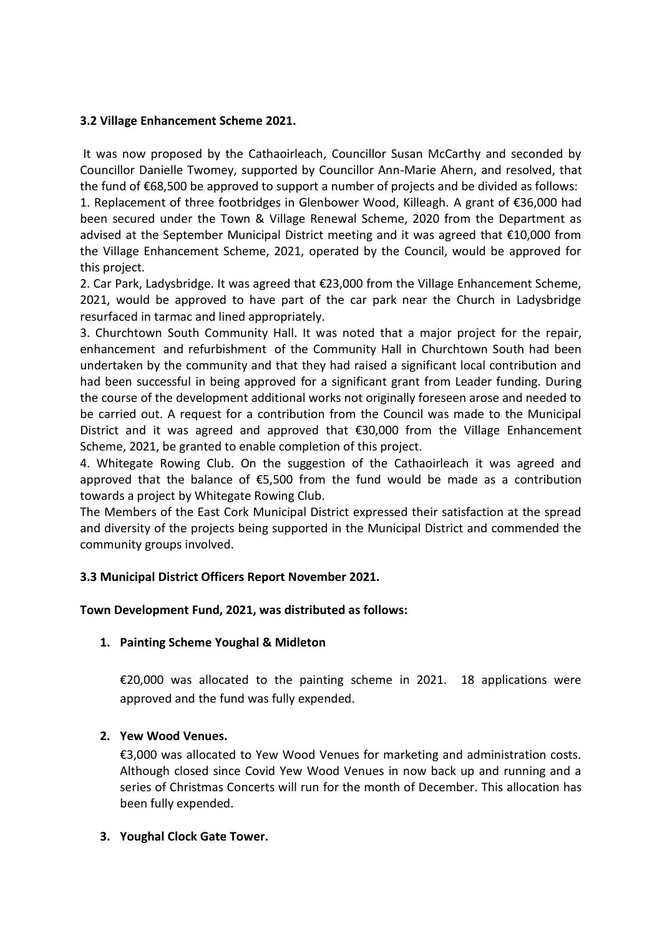## **3.2 Village Enhancement Scheme 2021.**

It was now proposed by the Cathaoirleach, Councillor Susan McCarthy and seconded by Councillor Danielle Twomey, supported by Councillor Ann-Marie Ahern, and resolved, that the fund of  $\epsilon$ 68,500 be approved to support a number of projects and be divided as follows:

1. Replacement of three footbridges in Glenbower Wood, Killeagh. A grant of €36,000 had been secured under the Town & Village Renewal Scheme, 2020 from the Department as advised at the September Municipal District meeting and it was agreed that €10,000 from the Village Enhancement Scheme, 2021, operated by the Council, would be approved for this project.

2. Car Park, Ladysbridge. It was agreed that €23,000 from the Village Enhancement Scheme, 2021, would be approved to have part of the car park near the Church in Ladysbridge resurfaced in tarmac and lined appropriately.

3. Churchtown South Community Hall. It was noted that a major project for the repair, enhancement and refurbishment of the Community Hall in Churchtown South had been undertaken by the community and that they had raised a significant local contribution and had been successful in being approved for a significant grant from Leader funding. During the course of the development additional works not originally foreseen arose and needed to be carried out. A request for a contribution from the Council was made to the Municipal District and it was agreed and approved that €30,000 from the Village Enhancement Scheme, 2021, be granted to enable completion of this project.

4. Whitegate Rowing Club. On the suggestion of the Cathaoirleach it was agreed and approved that the balance of €5,500 from the fund would be made as a contribution towards a project by Whitegate Rowing Club.

The Members of the East Cork Municipal District expressed their satisfaction at the spread and diversity of the projects being supported in the Municipal District and commended the community groups involved.

## **3.3 Municipal District Officers Report November 2021.**

# **Town Development Fund, 2021, was distributed as follows:**

## **1. Painting Scheme Youghal & Midleton**

€20,000 was allocated to the painting scheme in 2021. 18 applications were approved and the fund was fully expended.

## **2. Yew Wood Venues.**

€3,000 was allocated to Yew Wood Venues for marketing and administration costs. Although closed since Covid Yew Wood Venues in now back up and running and a series of Christmas Concerts will run for the month of December. This allocation has been fully expended.

## **3. Youghal Clock Gate Tower.**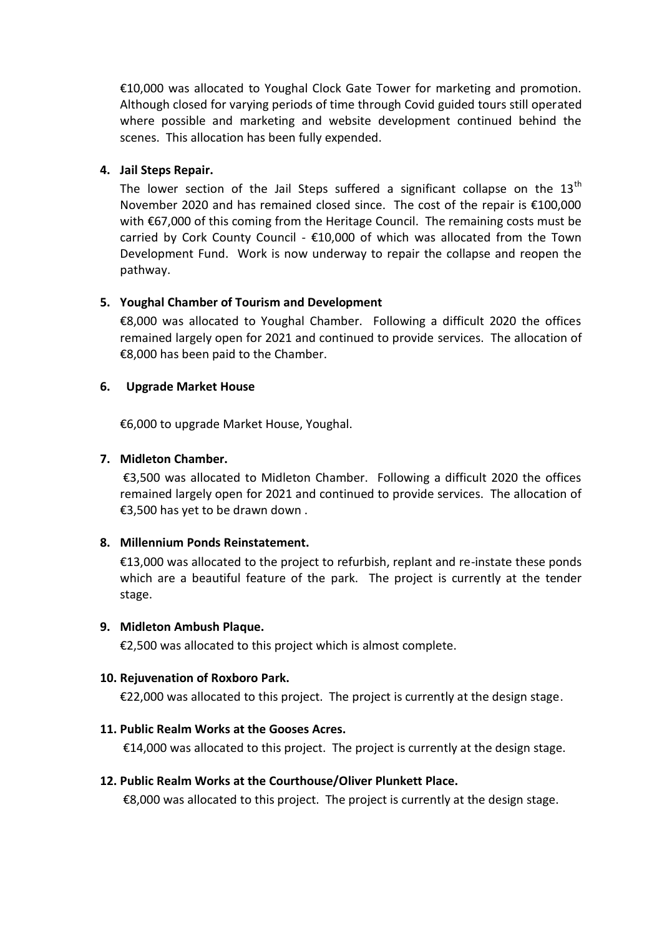€10,000 was allocated to Youghal Clock Gate Tower for marketing and promotion. Although closed for varying periods of time through Covid guided tours still operated where possible and marketing and website development continued behind the scenes. This allocation has been fully expended.

#### **4. Jail Steps Repair.**

The lower section of the Jail Steps suffered a significant collapse on the  $13<sup>th</sup>$ November 2020 and has remained closed since. The cost of the repair is €100,000 with €67,000 of this coming from the Heritage Council. The remaining costs must be carried by Cork County Council -  $£10,000$  of which was allocated from the Town Development Fund. Work is now underway to repair the collapse and reopen the pathway.

### **5. Youghal Chamber of Tourism and Development**

€8,000 was allocated to Youghal Chamber. Following a difficult 2020 the offices remained largely open for 2021 and continued to provide services. The allocation of €8,000 has been paid to the Chamber.

#### **6. Upgrade Market House**

€6,000 to upgrade Market House, Youghal.

### **7. Midleton Chamber.**

€3,500 was allocated to Midleton Chamber. Following a difficult 2020 the offices remained largely open for 2021 and continued to provide services. The allocation of €3,500 has yet to be drawn down .

#### **8. Millennium Ponds Reinstatement.**

€13,000 was allocated to the project to refurbish, replant and re-instate these ponds which are a beautiful feature of the park. The project is currently at the tender stage.

#### **9. Midleton Ambush Plaque.**

€2,500 was allocated to this project which is almost complete.

#### **10. Rejuvenation of Roxboro Park.**

€22,000 was allocated to this project. The project is currently at the design stage.

#### **11. Public Realm Works at the Gooses Acres.**

€14,000 was allocated to this project. The project is currently at the design stage.

#### **12. Public Realm Works at the Courthouse/Oliver Plunkett Place.**

€8,000 was allocated to this project. The project is currently at the design stage.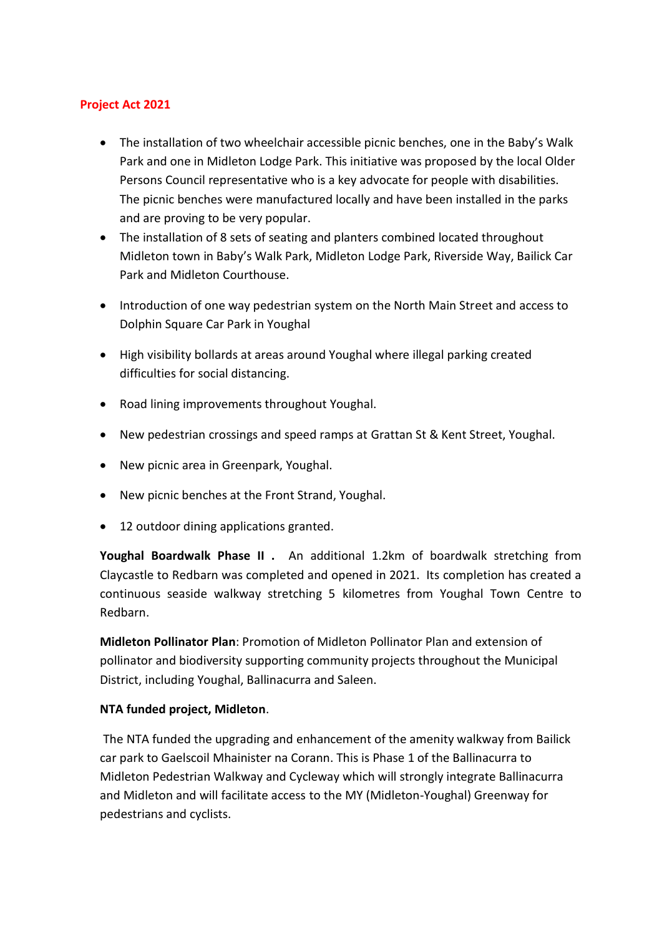### **Project Act 2021**

- The installation of two wheelchair accessible picnic benches, one in the Baby's Walk Park and one in Midleton Lodge Park. This initiative was proposed by the local Older Persons Council representative who is a key advocate for people with disabilities. The picnic benches were manufactured locally and have been installed in the parks and are proving to be very popular.
- The installation of 8 sets of seating and planters combined located throughout Midleton town in Baby's Walk Park, Midleton Lodge Park, Riverside Way, Bailick Car Park and Midleton Courthouse.
- Introduction of one way pedestrian system on the North Main Street and access to Dolphin Square Car Park in Youghal
- High visibility bollards at areas around Youghal where illegal parking created difficulties for social distancing.
- Road lining improvements throughout Youghal.
- New pedestrian crossings and speed ramps at Grattan St & Kent Street, Youghal.
- New picnic area in Greenpark, Youghal.
- New picnic benches at the Front Strand, Youghal.
- 12 outdoor dining applications granted.

**Youghal Boardwalk Phase II .** An additional 1.2km of boardwalk stretching from Claycastle to Redbarn was completed and opened in 2021. Its completion has created a continuous seaside walkway stretching 5 kilometres from Youghal Town Centre to Redbarn.

**Midleton Pollinator Plan**: Promotion of Midleton Pollinator Plan and extension of pollinator and biodiversity supporting community projects throughout the Municipal District, including Youghal, Ballinacurra and Saleen.

## **NTA funded project, Midleton**.

The NTA funded the upgrading and enhancement of the amenity walkway from Bailick car park to Gaelscoil Mhainister na Corann. This is Phase 1 of the Ballinacurra to Midleton Pedestrian Walkway and Cycleway which will strongly integrate Ballinacurra and Midleton and will facilitate access to the MY (Midleton-Youghal) Greenway for pedestrians and cyclists.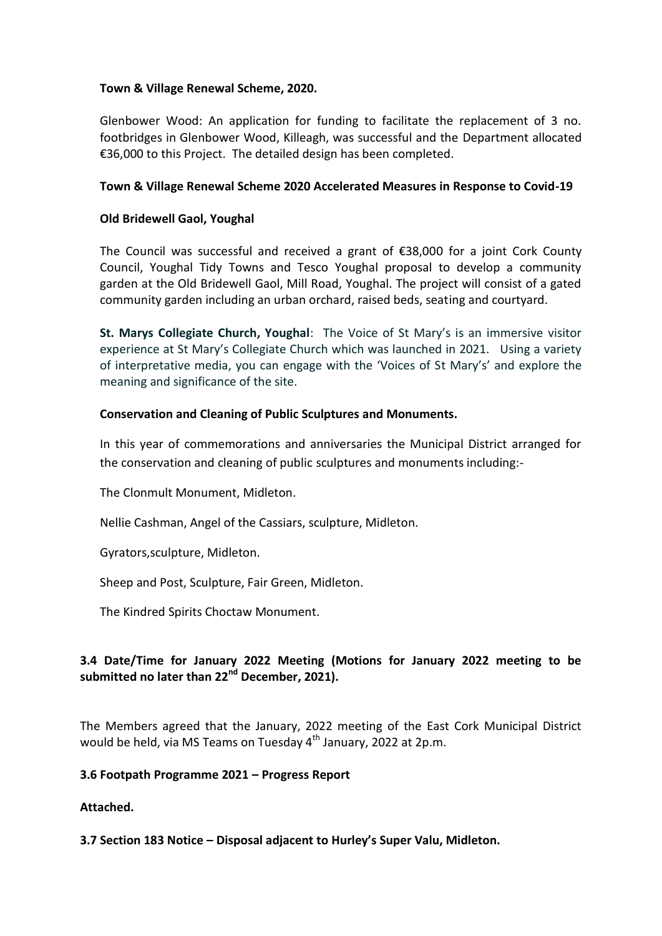### **Town & Village Renewal Scheme, 2020.**

Glenbower Wood: An application for funding to facilitate the replacement of 3 no. footbridges in Glenbower Wood, Killeagh, was successful and the Department allocated €36,000 to this Project. The detailed design has been completed.

### **Town & Village Renewal Scheme 2020 Accelerated Measures in Response to Covid-19**

### **Old Bridewell Gaol, Youghal**

The Council was successful and received a grant of €38,000 for a joint Cork County Council, Youghal Tidy Towns and Tesco Youghal proposal to develop a community garden at the Old Bridewell Gaol, Mill Road, Youghal. The project will consist of a gated community garden including an urban orchard, raised beds, seating and courtyard.

**St. Marys Collegiate Church, Youghal**: The Voice of St Mary's is an immersive visitor experience at St Mary's Collegiate Church which was launched in 2021. Using a variety of interpretative media, you can engage with the 'Voices of St Mary's' and explore the meaning and significance of the site.

### **Conservation and Cleaning of Public Sculptures and Monuments.**

In this year of commemorations and anniversaries the Municipal District arranged for the conservation and cleaning of public sculptures and monuments including:-

The Clonmult Monument, Midleton.

Nellie Cashman, Angel of the Cassiars, sculpture, Midleton.

Gyrators,sculpture, Midleton.

Sheep and Post, Sculpture, Fair Green, Midleton.

The Kindred Spirits Choctaw Monument.

## **3.4 Date/Time for January 2022 Meeting (Motions for January 2022 meeting to be submitted no later than 22nd December, 2021).**

The Members agreed that the January, 2022 meeting of the East Cork Municipal District would be held, via MS Teams on Tuesday  $4<sup>th</sup>$  January, 2022 at 2p.m.

#### **3.6 Footpath Programme 2021 – Progress Report**

**Attached.** 

**3.7 Section 183 Notice – Disposal adjacent to Hurley's Super Valu, Midleton.**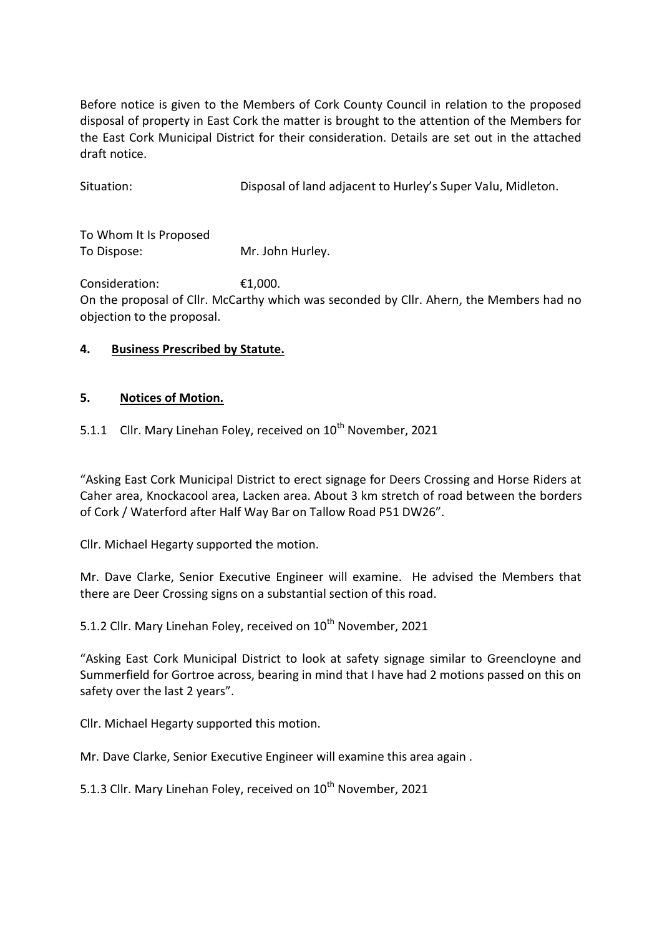Before notice is given to the Members of Cork County Council in relation to the proposed disposal of property in East Cork the matter is brought to the attention of the Members for the East Cork Municipal District for their consideration. Details are set out in the attached draft notice.

Situation: Disposal of land adjacent to Hurley's Super Valu, Midleton.

To Whom It Is Proposed To Dispose: Mr. John Hurley.

Consideration: €1,000. On the proposal of Cllr. McCarthy which was seconded by Cllr. Ahern, the Members had no objection to the proposal.

# **4. Business Prescribed by Statute.**

## **5. Notices of Motion.**

5.1.1 Cllr. Mary Linehan Foley, received on  $10^{th}$  November, 2021

"Asking East Cork Municipal District to erect signage for Deers Crossing and Horse Riders at Caher area, Knockacool area, Lacken area. About 3 km stretch of road between the borders of Cork / Waterford after Half Way Bar on Tallow Road P51 DW26".

Cllr. Michael Hegarty supported the motion.

Mr. Dave Clarke, Senior Executive Engineer will examine. He advised the Members that there are Deer Crossing signs on a substantial section of this road.

5.1.2 Cllr. Mary Linehan Foley, received on 10<sup>th</sup> November, 2021

"Asking East Cork Municipal District to look at safety signage similar to Greencloyne and Summerfield for Gortroe across, bearing in mind that I have had 2 motions passed on this on safety over the last 2 years".

Cllr. Michael Hegarty supported this motion.

Mr. Dave Clarke, Senior Executive Engineer will examine this area again .

5.1.3 Cllr. Mary Linehan Foley, received on 10<sup>th</sup> November, 2021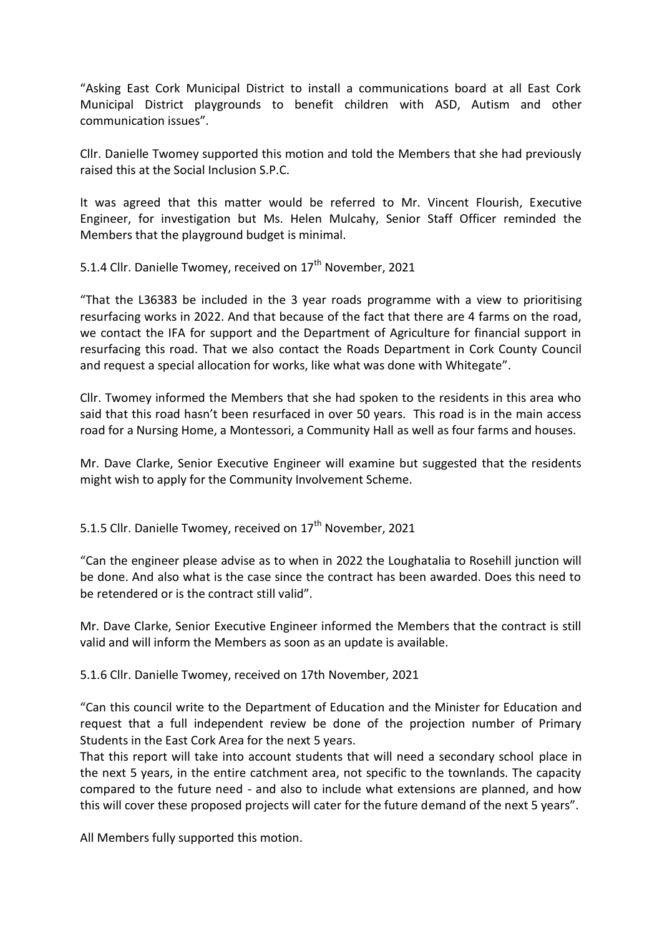"Asking East Cork Municipal District to install a communications board at all East Cork Municipal District playgrounds to benefit children with ASD, Autism and other communication issues".

Cllr. Danielle Twomey supported this motion and told the Members that she had previously raised this at the Social Inclusion S.P.C.

It was agreed that this matter would be referred to Mr. Vincent Flourish, Executive Engineer, for investigation but Ms. Helen Mulcahy, Senior Staff Officer reminded the Members that the playground budget is minimal.

5.1.4 Cllr. Danielle Twomey, received on 17<sup>th</sup> November, 2021

"That the L36383 be included in the 3 year roads programme with a view to prioritising resurfacing works in 2022. And that because of the fact that there are 4 farms on the road, we contact the IFA for support and the Department of Agriculture for financial support in resurfacing this road. That we also contact the Roads Department in Cork County Council and request a special allocation for works, like what was done with Whitegate".

Cllr. Twomey informed the Members that she had spoken to the residents in this area who said that this road hasn't been resurfaced in over 50 years. This road is in the main access road for a Nursing Home, a Montessori, a Community Hall as well as four farms and houses.

Mr. Dave Clarke, Senior Executive Engineer will examine but suggested that the residents might wish to apply for the Community Involvement Scheme.

5.1.5 Cllr. Danielle Twomey, received on  $17<sup>th</sup>$  November, 2021

"Can the engineer please advise as to when in 2022 the Loughatalia to Rosehill junction will be done. And also what is the case since the contract has been awarded. Does this need to be retendered or is the contract still valid".

Mr. Dave Clarke, Senior Executive Engineer informed the Members that the contract is still valid and will inform the Members as soon as an update is available.

5.1.6 Cllr. Danielle Twomey, received on 17th November, 2021

"Can this council write to the Department of Education and the Minister for Education and request that a full independent review be done of the projection number of Primary Students in the East Cork Area for the next 5 years.

That this report will take into account students that will need a secondary school place in the next 5 years, in the entire catchment area, not specific to the townlands. The capacity compared to the future need - and also to include what extensions are planned, and how this will cover these proposed projects will cater for the future demand of the next 5 years".

All Members fully supported this motion.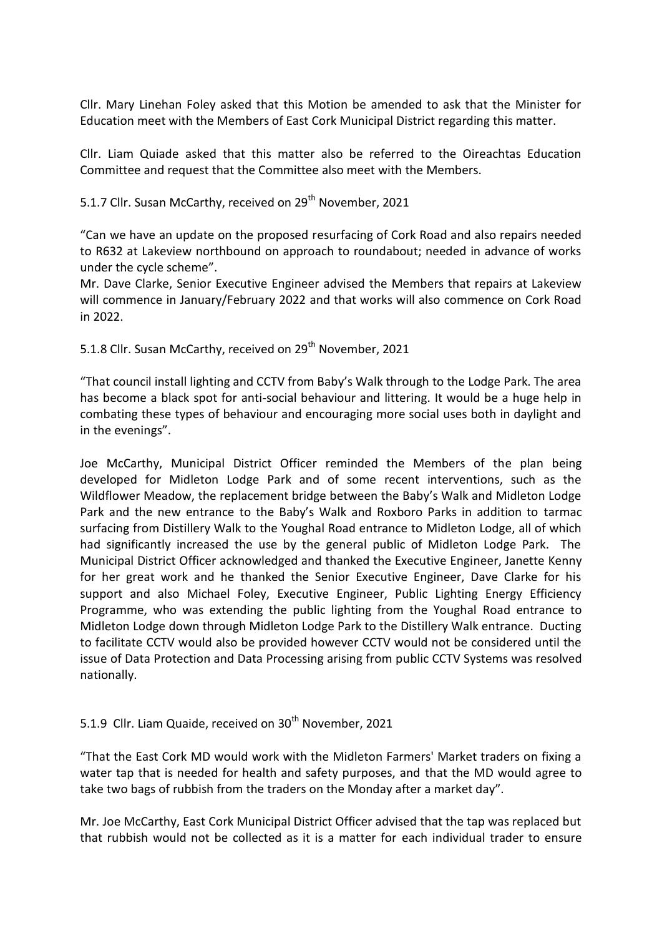Cllr. Mary Linehan Foley asked that this Motion be amended to ask that the Minister for Education meet with the Members of East Cork Municipal District regarding this matter.

Cllr. Liam Quiade asked that this matter also be referred to the Oireachtas Education Committee and request that the Committee also meet with the Members.

5.1.7 Cllr. Susan McCarthy, received on 29<sup>th</sup> November, 2021

"Can we have an update on the proposed resurfacing of Cork Road and also repairs needed to R632 at Lakeview northbound on approach to roundabout; needed in advance of works under the cycle scheme".

Mr. Dave Clarke, Senior Executive Engineer advised the Members that repairs at Lakeview will commence in January/February 2022 and that works will also commence on Cork Road in 2022.

5.1.8 Cllr. Susan McCarthy, received on 29<sup>th</sup> November, 2021

"That council install lighting and CCTV from Baby's Walk through to the Lodge Park. The area has become a black spot for anti-social behaviour and littering. It would be a huge help in combating these types of behaviour and encouraging more social uses both in daylight and in the evenings".

Joe McCarthy, Municipal District Officer reminded the Members of the plan being developed for Midleton Lodge Park and of some recent interventions, such as the Wildflower Meadow, the replacement bridge between the Baby's Walk and Midleton Lodge Park and the new entrance to the Baby's Walk and Roxboro Parks in addition to tarmac surfacing from Distillery Walk to the Youghal Road entrance to Midleton Lodge, all of which had significantly increased the use by the general public of Midleton Lodge Park. The Municipal District Officer acknowledged and thanked the Executive Engineer, Janette Kenny for her great work and he thanked the Senior Executive Engineer, Dave Clarke for his support and also Michael Foley, Executive Engineer, Public Lighting Energy Efficiency Programme, who was extending the public lighting from the Youghal Road entrance to Midleton Lodge down through Midleton Lodge Park to the Distillery Walk entrance. Ducting to facilitate CCTV would also be provided however CCTV would not be considered until the issue of Data Protection and Data Processing arising from public CCTV Systems was resolved nationally.

## 5.1.9 Cllr. Liam Quaide, received on  $30<sup>th</sup>$  November, 2021

"That the East Cork MD would work with the Midleton Farmers' Market traders on fixing a water tap that is needed for health and safety purposes, and that the MD would agree to take two bags of rubbish from the traders on the Monday after a market day".

Mr. Joe McCarthy, East Cork Municipal District Officer advised that the tap was replaced but that rubbish would not be collected as it is a matter for each individual trader to ensure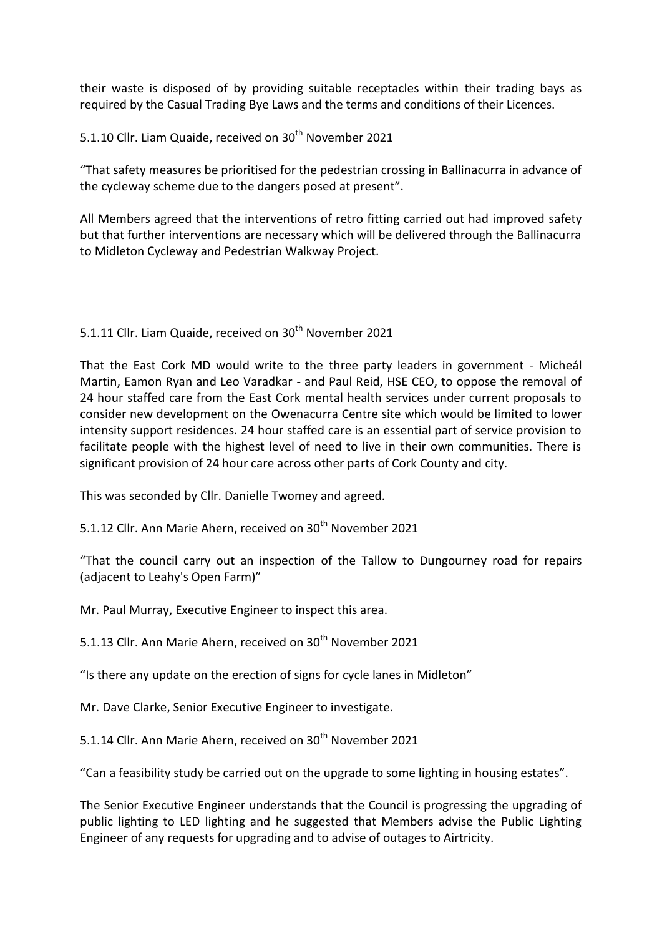their waste is disposed of by providing suitable receptacles within their trading bays as required by the Casual Trading Bye Laws and the terms and conditions of their Licences.

5.1.10 Cllr. Liam Quaide, received on 30<sup>th</sup> November 2021

"That safety measures be prioritised for the pedestrian crossing in Ballinacurra in advance of the cycleway scheme due to the dangers posed at present".

All Members agreed that the interventions of retro fitting carried out had improved safety but that further interventions are necessary which will be delivered through the Ballinacurra to Midleton Cycleway and Pedestrian Walkway Project.

### 5.1.11 Cllr. Liam Quaide, received on 30<sup>th</sup> November 2021

That the East Cork MD would write to the three party leaders in government - Micheál Martin, Eamon Ryan and Leo Varadkar - and Paul Reid, HSE CEO, to oppose the removal of 24 hour staffed care from the East Cork mental health services under current proposals to consider new development on the Owenacurra Centre site which would be limited to lower intensity support residences. 24 hour staffed care is an essential part of service provision to facilitate people with the highest level of need to live in their own communities. There is significant provision of 24 hour care across other parts of Cork County and city.

This was seconded by Cllr. Danielle Twomey and agreed.

5.1.12 Cllr. Ann Marie Ahern, received on 30<sup>th</sup> November 2021

"That the council carry out an inspection of the Tallow to Dungourney road for repairs (adjacent to Leahy's Open Farm)"

Mr. Paul Murray, Executive Engineer to inspect this area.

5.1.13 Cllr. Ann Marie Ahern, received on 30<sup>th</sup> November 2021

"Is there any update on the erection of signs for cycle lanes in Midleton"

Mr. Dave Clarke, Senior Executive Engineer to investigate.

5.1.14 Cllr. Ann Marie Ahern, received on 30<sup>th</sup> November 2021

"Can a feasibility study be carried out on the upgrade to some lighting in housing estates".

The Senior Executive Engineer understands that the Council is progressing the upgrading of public lighting to LED lighting and he suggested that Members advise the Public Lighting Engineer of any requests for upgrading and to advise of outages to Airtricity.